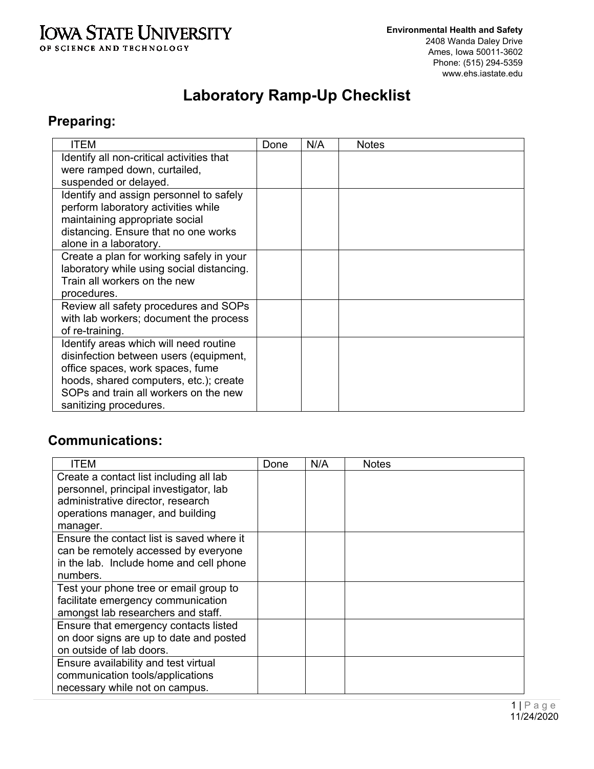#### **IOWA STATE UNIVERSITY** OF SCIENCE AND TECHNOLOGY

# **Laboratory Ramp-Up Checklist**

# **Preparing:**

| <b>ITEM</b>                               | Done | N/A | <b>Notes</b> |
|-------------------------------------------|------|-----|--------------|
| Identify all non-critical activities that |      |     |              |
| were ramped down, curtailed,              |      |     |              |
| suspended or delayed.                     |      |     |              |
| Identify and assign personnel to safely   |      |     |              |
| perform laboratory activities while       |      |     |              |
| maintaining appropriate social            |      |     |              |
| distancing. Ensure that no one works      |      |     |              |
| alone in a laboratory.                    |      |     |              |
| Create a plan for working safely in your  |      |     |              |
| laboratory while using social distancing. |      |     |              |
| Train all workers on the new              |      |     |              |
| procedures.                               |      |     |              |
| Review all safety procedures and SOPs     |      |     |              |
| with lab workers; document the process    |      |     |              |
| of re-training.                           |      |     |              |
| Identify areas which will need routine    |      |     |              |
| disinfection between users (equipment,    |      |     |              |
| office spaces, work spaces, fume          |      |     |              |
| hoods, shared computers, etc.); create    |      |     |              |
| SOPs and train all workers on the new     |      |     |              |
| sanitizing procedures.                    |      |     |              |

### **Communications:**

| <b>ITEM</b>                               | Done | N/A | <b>Notes</b> |
|-------------------------------------------|------|-----|--------------|
| Create a contact list including all lab   |      |     |              |
| personnel, principal investigator, lab    |      |     |              |
| administrative director, research         |      |     |              |
| operations manager, and building          |      |     |              |
| manager.                                  |      |     |              |
| Ensure the contact list is saved where it |      |     |              |
| can be remotely accessed by everyone      |      |     |              |
| in the lab. Include home and cell phone   |      |     |              |
| numbers.                                  |      |     |              |
| Test your phone tree or email group to    |      |     |              |
| facilitate emergency communication        |      |     |              |
| amongst lab researchers and staff.        |      |     |              |
| Ensure that emergency contacts listed     |      |     |              |
| on door signs are up to date and posted   |      |     |              |
| on outside of lab doors.                  |      |     |              |
| Ensure availability and test virtual      |      |     |              |
| communication tools/applications          |      |     |              |
| necessary while not on campus.            |      |     |              |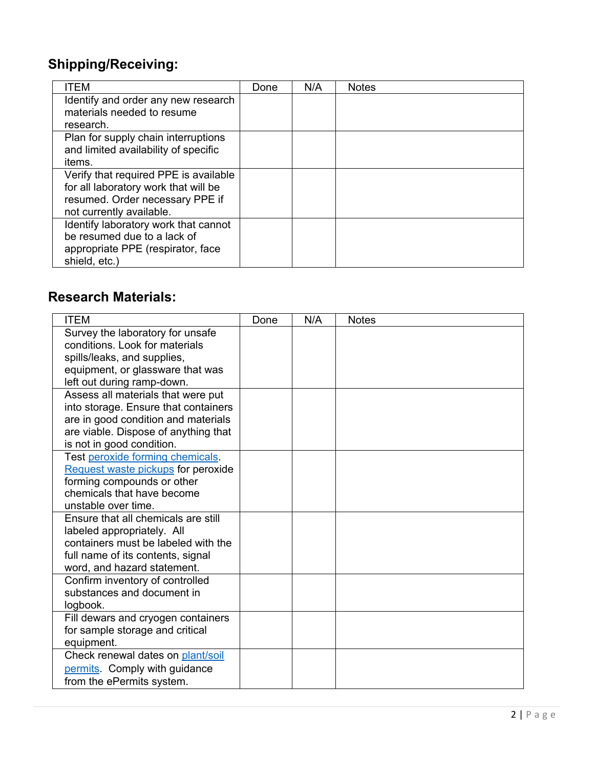### **Shipping/ Receiving:**

| ITEM                                  | Done | N/A | <b>Notes</b> |
|---------------------------------------|------|-----|--------------|
| Identify and order any new research   |      |     |              |
| materials needed to resume            |      |     |              |
| research.                             |      |     |              |
| Plan for supply chain interruptions   |      |     |              |
| and limited availability of specific  |      |     |              |
| items.                                |      |     |              |
| Verify that required PPE is available |      |     |              |
| for all laboratory work that will be  |      |     |              |
| resumed. Order necessary PPE if       |      |     |              |
| not currently available.              |      |     |              |
| Identify laboratory work that cannot  |      |     |              |
| be resumed due to a lack of           |      |     |              |
| appropriate PPE (respirator, face     |      |     |              |
| shield, etc.)                         |      |     |              |

#### **Research Materials:**

| <b>ITEM</b>                                                       | Done | N/A | <b>Notes</b> |
|-------------------------------------------------------------------|------|-----|--------------|
| Survey the laboratory for unsafe                                  |      |     |              |
| conditions. Look for materials                                    |      |     |              |
| spills/leaks, and supplies,                                       |      |     |              |
| equipment, or glassware that was                                  |      |     |              |
| left out during ramp-down.                                        |      |     |              |
| Assess all materials that were put                                |      |     |              |
| into storage. Ensure that containers                              |      |     |              |
| are in good condition and materials                               |      |     |              |
| are viable. Dispose of anything that                              |      |     |              |
| is not in good condition.                                         |      |     |              |
| Test peroxide forming chemicals.                                  |      |     |              |
| Request waste pickups for peroxide                                |      |     |              |
| forming compounds or other                                        |      |     |              |
| chemicals that have become                                        |      |     |              |
| unstable over time.                                               |      |     |              |
| Ensure that all chemicals are still                               |      |     |              |
| labeled appropriately. All<br>containers must be labeled with the |      |     |              |
|                                                                   |      |     |              |
| full name of its contents, signal<br>word, and hazard statement.  |      |     |              |
| Confirm inventory of controlled                                   |      |     |              |
| substances and document in                                        |      |     |              |
| logbook.                                                          |      |     |              |
| Fill dewars and cryogen containers                                |      |     |              |
| for sample storage and critical                                   |      |     |              |
| equipment.                                                        |      |     |              |
| Check renewal dates on plant/soil                                 |      |     |              |
| permits. Comply with guidance                                     |      |     |              |
| from the ePermits system.                                         |      |     |              |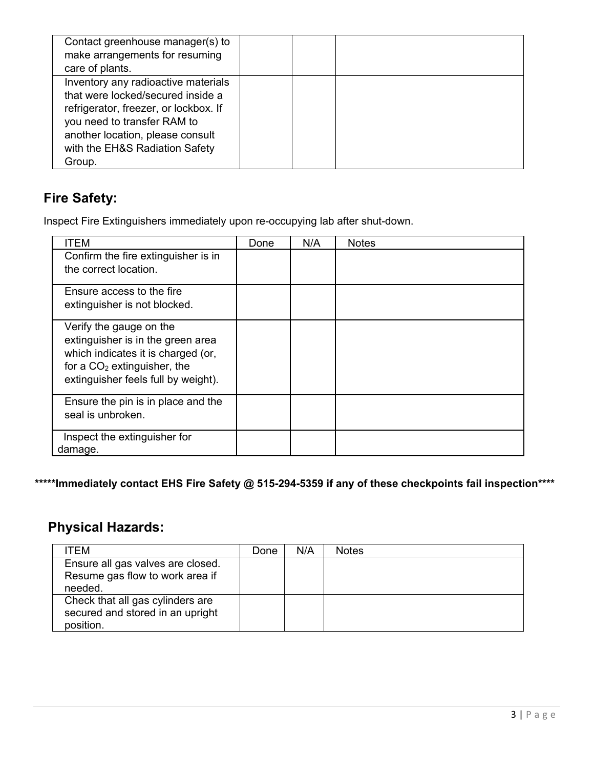| Contact greenhouse manager(s) to<br>make arrangements for resuming<br>care of plants.                                                                                                                                            |  |  |
|----------------------------------------------------------------------------------------------------------------------------------------------------------------------------------------------------------------------------------|--|--|
| Inventory any radioactive materials<br>that were locked/secured inside a<br>refrigerator, freezer, or lockbox. If<br>you need to transfer RAM to<br>another location, please consult<br>with the EH&S Radiation Safety<br>Group. |  |  |

## **Fire Safety:**

Inspect Fire Extinguishers immediately upon re-occupying lab after shut-down.

| ITEM                                                                                                                                                                       | Done | N/A | <b>Notes</b> |
|----------------------------------------------------------------------------------------------------------------------------------------------------------------------------|------|-----|--------------|
| Confirm the fire extinguisher is in<br>the correct location.                                                                                                               |      |     |              |
| Ensure access to the fire<br>extinguisher is not blocked.                                                                                                                  |      |     |              |
| Verify the gauge on the<br>extinguisher is in the green area<br>which indicates it is charged (or,<br>for a $CO2$ extinguisher, the<br>extinguisher feels full by weight). |      |     |              |
| Ensure the pin is in place and the<br>seal is unbroken.                                                                                                                    |      |     |              |
| Inspect the extinguisher for<br>damage.                                                                                                                                    |      |     |              |

**\*\*\*\*\*Immediately contact EHS Fire Safety @ 515-294-5359 if any of these checkpoints fail inspection\*\*\*\*** 

# **Physical Hazards:**

| ITEM                              | Done | N/A | <b>Notes</b> |
|-----------------------------------|------|-----|--------------|
| Ensure all gas valves are closed. |      |     |              |
| Resume gas flow to work area if   |      |     |              |
| needed.                           |      |     |              |
| Check that all gas cylinders are  |      |     |              |
| secured and stored in an upright  |      |     |              |
| position.                         |      |     |              |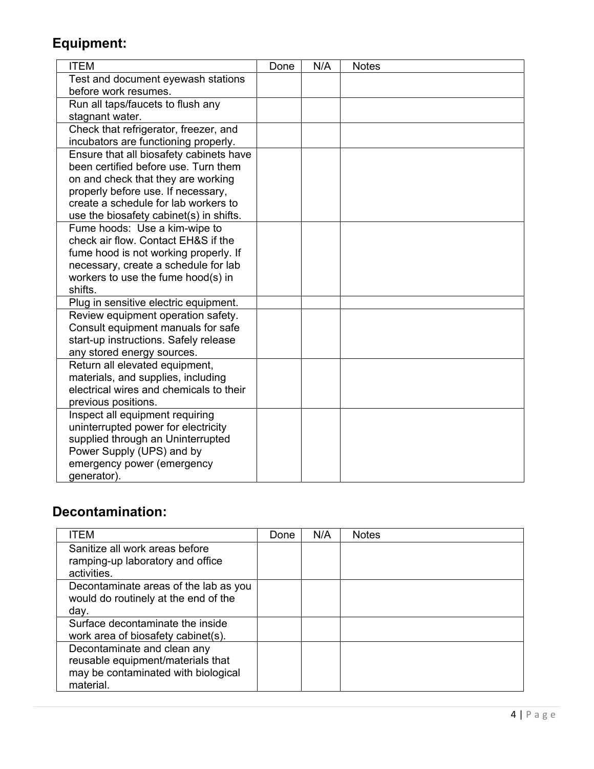# **Equipment:**

| <b>ITEM</b>                                                                   | Done | N/A | <b>Notes</b> |
|-------------------------------------------------------------------------------|------|-----|--------------|
| Test and document eyewash stations                                            |      |     |              |
| before work resumes.                                                          |      |     |              |
| Run all taps/faucets to flush any                                             |      |     |              |
| stagnant water.                                                               |      |     |              |
| Check that refrigerator, freezer, and                                         |      |     |              |
| incubators are functioning properly.                                          |      |     |              |
| Ensure that all biosafety cabinets have                                       |      |     |              |
| been certified before use. Turn them                                          |      |     |              |
| on and check that they are working                                            |      |     |              |
| properly before use. If necessary,                                            |      |     |              |
| create a schedule for lab workers to                                          |      |     |              |
| use the biosafety cabinet(s) in shifts.                                       |      |     |              |
| Fume hoods: Use a kim-wipe to                                                 |      |     |              |
| check air flow. Contact EH&S if the                                           |      |     |              |
| fume hood is not working properly. If                                         |      |     |              |
| necessary, create a schedule for lab                                          |      |     |              |
| workers to use the fume hood(s) in                                            |      |     |              |
| shifts.                                                                       |      |     |              |
| Plug in sensitive electric equipment.                                         |      |     |              |
| Review equipment operation safety.                                            |      |     |              |
| Consult equipment manuals for safe                                            |      |     |              |
| start-up instructions. Safely release                                         |      |     |              |
| any stored energy sources.                                                    |      |     |              |
| Return all elevated equipment,                                                |      |     |              |
| materials, and supplies, including<br>electrical wires and chemicals to their |      |     |              |
| previous positions.                                                           |      |     |              |
| Inspect all equipment requiring                                               |      |     |              |
| uninterrupted power for electricity                                           |      |     |              |
| supplied through an Uninterrupted                                             |      |     |              |
| Power Supply (UPS) and by                                                     |      |     |              |
| emergency power (emergency                                                    |      |     |              |
| generator).                                                                   |      |     |              |

## **Decontamination:**

| <b>ITEM</b>                           | Done | N/A | <b>Notes</b> |
|---------------------------------------|------|-----|--------------|
| Sanitize all work areas before        |      |     |              |
| ramping-up laboratory and office      |      |     |              |
| activities.                           |      |     |              |
| Decontaminate areas of the lab as you |      |     |              |
| would do routinely at the end of the  |      |     |              |
| day.                                  |      |     |              |
| Surface decontaminate the inside      |      |     |              |
| work area of biosafety cabinet(s).    |      |     |              |
| Decontaminate and clean any           |      |     |              |
| reusable equipment/materials that     |      |     |              |
| may be contaminated with biological   |      |     |              |
| material.                             |      |     |              |